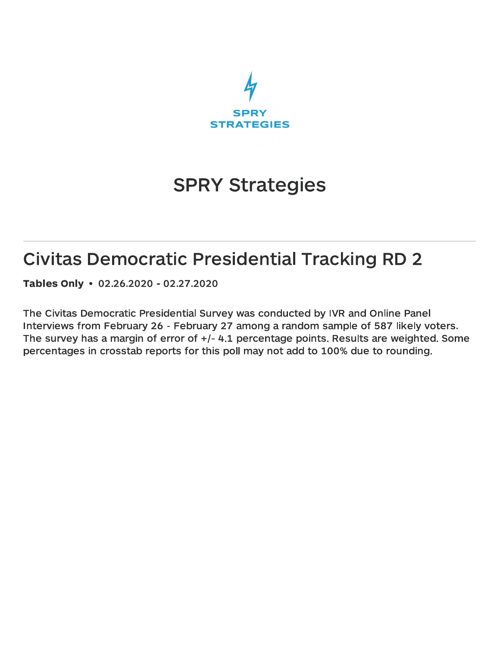

# **SPRY Strategies**

## **Civitas Democratic Presidential Tracking RD 2**

Tables Only • 02.26.2020 - 02.27.2020

The Civitas Democratic Presidential Survey was conducted by IVR and Online Panel Interviews from February 26 - February 27 among a random sample of 587 likely voters. The survey has a margin of error of  $+/- 4.1$  percentage points. Results are weighted. Some percentages in crosstab reports for this poll may not add to 100% due to rounding.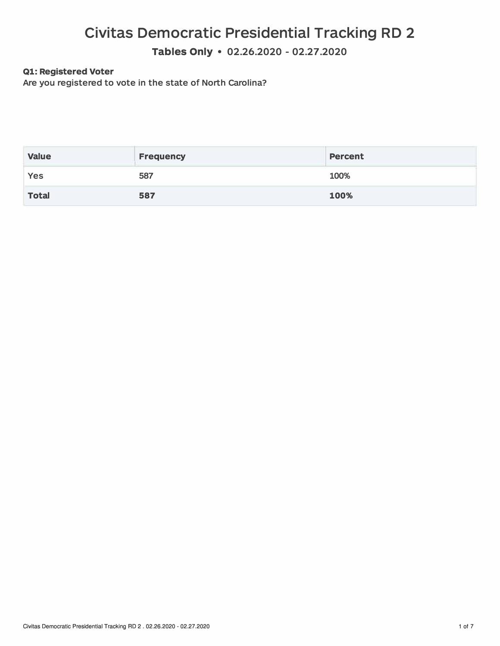**Tables Only** • **02.26.2020 - 02.27.2020**

### **Ql: Registered Voter**

**Are you registered to vote in the state of North carolina?** 

| <b>Value</b> | <b>Frequency</b> | <b>Percent</b> |
|--------------|------------------|----------------|
| Yes          | 587              | 100%           |
| <b>Total</b> | 587              | 100%           |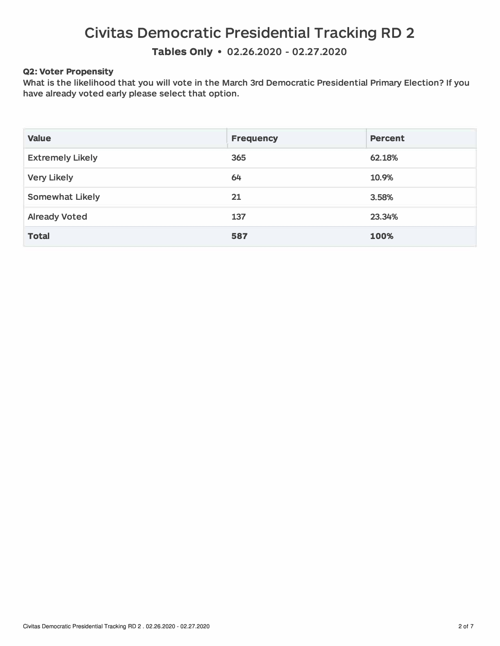**Tables Only • 02.26.2020 - 02.27.2020** 

#### **Q2: Voter Propensity**

**What is the likelihood that you will vote in the March 3rd Democratic Presidential Primary Election? If you have already voted early please select that option.** 

| <b>Value</b>            | <b>Frequency</b> | <b>Percent</b> |
|-------------------------|------------------|----------------|
| <b>Extremely Likely</b> | 365              | 62.18%         |
| <b>Very Likely</b>      | 64               | 10.9%          |
| <b>Somewhat Likely</b>  | 21               | 3.58%          |
| <b>Already Voted</b>    | 137              | 23.34%         |
| <b>Total</b>            | 587              | 100%           |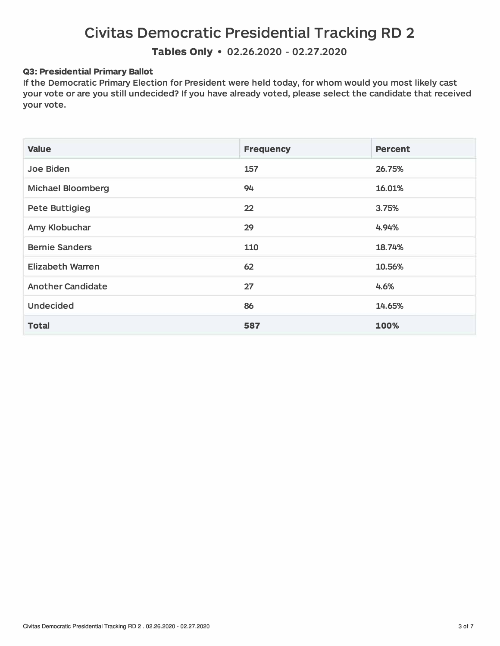**Tables Only • 02.26.2020 - 02.27.2020** 

#### **Q3: Presidential Primary Ballot**

**If the Democratic Primary Election for President were held today, for whom would you most likely cast your vote or are you still undecided? If you have already voted, please select the candidate that received your vote.** 

| <b>Value</b>             | <b>Frequency</b>  | <b>Percent</b> |
|--------------------------|-------------------|----------------|
| Joe Biden                | 157               | 26.75%         |
| <b>Michael Bloomberg</b> | 94                | 16.01%         |
| <b>Pete Buttigieg</b>    | $22 \overline{)}$ | 3.75%          |
| Amy Klobuchar            | 29                | 4.94%          |
| <b>Bernie Sanders</b>    | 110               | 18.74%         |
| <b>Elizabeth Warren</b>  | 62                | 10.56%         |
| <b>Another Candidate</b> | 27                | 4.6%           |
| <b>Undecided</b>         | 86                | 14.65%         |
| <b>Total</b>             | 587               | 100%           |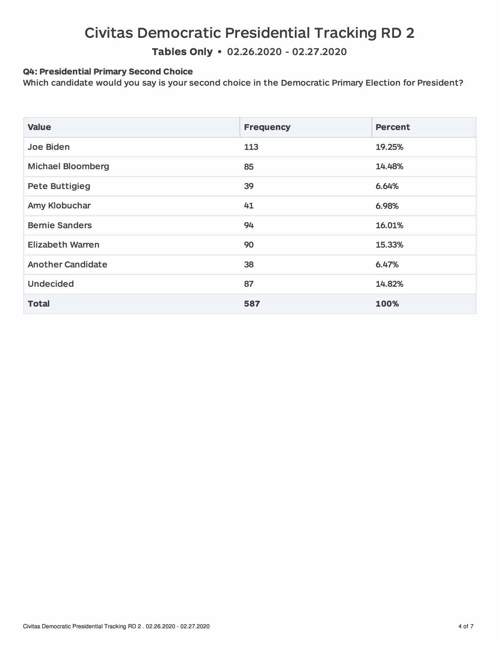**Tables Only** • **02.26.2020** - **02.27.2020** 

#### **Q4: Presidential Primary Second Choice**

**Which candidate would you say is your second choice in the Democratic Primary Election for President?** 

| <b>Value</b>             | <b>Frequency</b> | <b>Percent</b> |
|--------------------------|------------------|----------------|
| Joe Biden                | 113              | 19.25%         |
| <b>Michael Bloomberg</b> | 85               | 14.48%         |
| <b>Pete Buttigieg</b>    | 39               | 6.64%          |
| Amy Klobuchar            | 41               | 6.98%          |
| <b>Bernie Sanders</b>    | 94               | 16.01%         |
| <b>Elizabeth Warren</b>  | 90               | 15.33%         |
| <b>Another Candidate</b> | 38               | 6.47%          |
| <b>Undecided</b>         | 87               | 14.82%         |
| <b>Total</b>             | 587              | 100%           |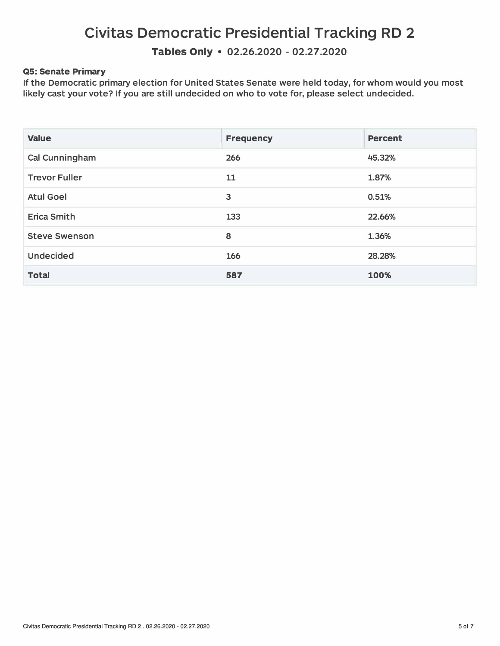**Tables Only • 02.26.2020 - 02.27.2020** 

#### **QS: Senate Primary**

**If the Democratic primary election for United States Senate were held today, for whom would you most likely cast your vote? If you are still undecided on who to vote for, please select undecided.** 

| <b>Value</b>         | <b>Frequency</b> | <b>Percent</b> |
|----------------------|------------------|----------------|
| Cal Cunningham       | 266              | 45.32%         |
| <b>Trevor Fuller</b> | 11               | 1.87%          |
| <b>Atul Goel</b>     | 3                | 0.51%          |
| <b>Erica Smith</b>   | 133              | 22.66%         |
| <b>Steve Swenson</b> | 8                | 1.36%          |
| <b>Undecided</b>     | 166              | 28.28%         |
| <b>Total</b>         | 587              | 100%           |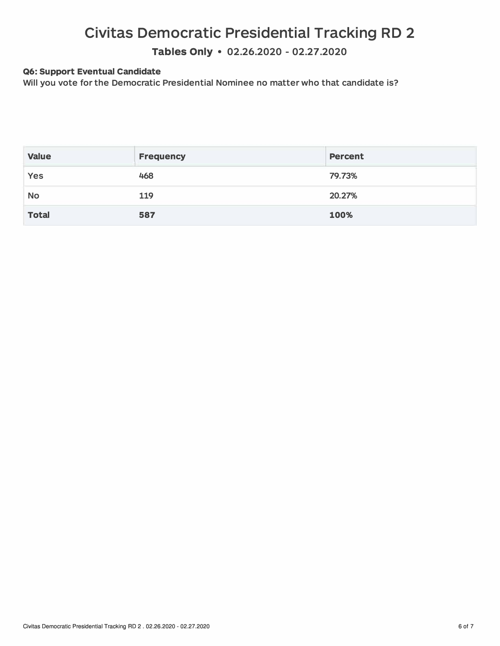**Tables Only • 02.26.2020 - 02.27.2020** 

#### **Q6: Support Eventual Candidate**

**Will you vote for the Democratic Presidential Nominee no matter who that candidate is?** 

| <b>Value</b> | <b>Frequency</b> | <b>Percent</b> |
|--------------|------------------|----------------|
| Yes          | 468              | 79.73%         |
| <b>No</b>    | 119              | 20.27%         |
| <b>Total</b> | 587              | 100%           |